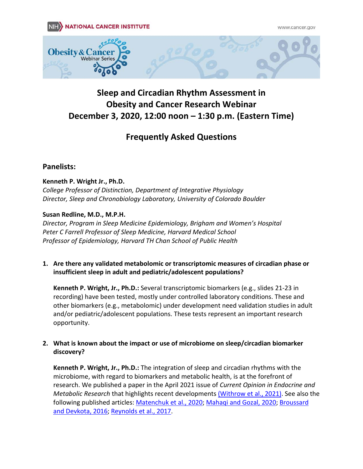

# **Sleep and Circadian Rhythm Assessment in Obesity and Cancer Research Webinar December 3, 2020, 12:00 noon – 1:30 p.m. (Eastern Time)**

## **Frequently Asked Questions**

### **Panelists:**

#### **Kenneth P. Wright Jr., Ph.D.**

*College Professor of Distinction, Department of Integrative Physiology Director, Sleep and Chronobiology Laboratory, University of Colorado Boulder*

#### **Susan Redline, M.D., M.P.H.**

*Director, Program in Sleep Medicine Epidemiology, Brigham and Women's Hospital Peter C Farrell Professor of Sleep Medicine, Harvard Medical School Professor of Epidemiology, Harvard TH Chan School of Public Health*

**1. Are there any validated metabolomic or transcriptomic measures of circadian phase or insufficient sleep in adult and pediatric/adolescent populations?** 

**Kenneth P. Wright, Jr., Ph.D.:** Several transcriptomic biomarkers (e.g., slides 21-23 in recording) have been tested, mostly under controlled laboratory conditions. These and other biomarkers (e.g., metabolomic) under development need validation studies in adult and/or pediatric/adolescent populations. These tests represent an important research opportunity.

#### **2. What is known about the impact or use of microbiome on sleep/circadian biomarker discovery?**

**Kenneth P. Wright, Jr., Ph.D.:** The integration of sleep and circadian rhythms with the microbiome, with regard to biomarkers and metabolic health, is at the forefront of research. We published a paper in the April 2021 issue of *Current Opinion in Endocrine and Metabolic Research* that highlights recent developments [\(Withrow et al., 2021\).](https://www.sciencedirect.com/science/article/pii/S2451965020301320) See also the following published articles: [Matenchuk et al., 2020;](https://pubmed.ncbi.nlm.nih.gov/32668369/) [Mahaqi and Gozal, 2020;](https://pubmed.ncbi.nlm.nih.gov/32559717/) [Broussard](https://pubmed.ncbi.nlm.nih.gov/27617196/)  [and Devkota, 2016;](https://pubmed.ncbi.nlm.nih.gov/27617196/) [Reynolds et al., 2017.](https://pubmed.ncbi.nlm.nih.gov/27568341/)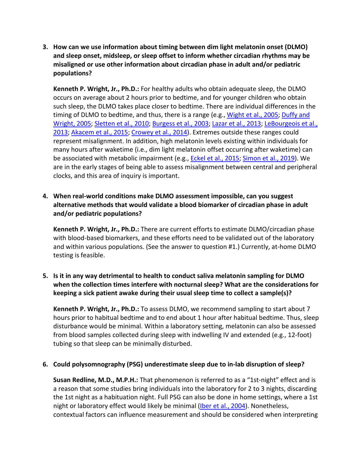**3. How can we use information about timing between dim light melatonin onset (DLMO) and sleep onset, midsleep, or sleep offset to inform whether circadian rhythms may be misaligned or use other information about circadian phase in adult and/or pediatric populations?**

**Kenneth P. Wright, Jr., Ph.D.:** For healthy adults who obtain adequate sleep, the DLMO occurs on average about 2 hours prior to bedtime, and for younger children who obtain such sleep, the DLMO takes place closer to bedtime. There are individual differences in the timing of DLMO to bedtime, and thus, there is a range (e.g., [Wight et al., 2005;](https://pubmed.ncbi.nlm.nih.gov/15834113/) [Duffy and](https://pubmed.ncbi.nlm.nih.gov/16077152/)  [Wright, 2005;](https://pubmed.ncbi.nlm.nih.gov/16077152/) [Sletten et al., 2010;](https://pubmed.ncbi.nlm.nih.gov/21188265/) [Burgess et al., 2003;](https://pubmed.ncbi.nlm.nih.gov/15600132/) [Lazar et al., 2013;](https://pubmed.ncbi.nlm.nih.gov/23216995/) [LeBourgeois et al.,](https://pubmed.ncbi.nlm.nih.gov/24132058/)  [2013;](https://pubmed.ncbi.nlm.nih.gov/24132058/) [Akacem et al., 2015;](https://pubmed.ncbi.nlm.nih.gov/25915066/) [Crowey et al., 2014\)](https://pubmed.ncbi.nlm.nih.gov/25380248/). Extremes outside these ranges could represent misalignment. In addition, high melatonin levels existing within individuals for many hours after waketime (i.e., dim light melatonin offset occurring after waketime) can be associated with metabolic impairment (e.g., [Eckel et al., 2015;](https://pubmed.ncbi.nlm.nih.gov/26549253/) [Simon et al., 2019\)](https://pubmed.ncbi.nlm.nih.gov/30888398/). We are in the early stages of being able to assess misalignment between central and peripheral clocks, and this area of inquiry is important.

#### **4. When real-world conditions make DLMO assessment impossible, can you suggest alternative methods that would validate a blood biomarker of circadian phase in adult and/or pediatric populations?**

**Kenneth P. Wright, Jr., Ph.D.:** There are current efforts to estimate DLMO/circadian phase with blood-based biomarkers, and these efforts need to be validated out of the laboratory and within various populations. (See the answer to question #1.) Currently, at-home DLMO testing is feasible.

#### **5. Is it in any way detrimental to health to conduct saliva melatonin sampling for DLMO when the collection times interfere with nocturnal sleep? What are the considerations for keeping a sick patient awake during their usual sleep time to collect a sample(s)?**

**Kenneth P. Wright, Jr., Ph.D.:** To assess DLMO, we recommend sampling to start about 7 hours prior to habitual bedtime and to end about 1 hour after habitual bedtime. Thus, sleep disturbance would be minimal. Within a laboratory setting, melatonin can also be assessed from blood samples collected during sleep with indwelling IV and extended (e.g., 12-foot) tubing so that sleep can be minimally disturbed.

#### **6. Could polysomnography (PSG) underestimate sleep due to in-lab disruption of sleep?**

**Susan Redline, M.D., M.P.H.:** That phenomenon is referred to as a "1st-night" effect and is a reason that some studies bring individuals into the laboratory for 2 to 3 nights, discarding the 1st night as a habituation night. Full PSG can also be done in home settings, where a 1st night or laboratory effect would likely be minimal [\(Iber et al., 2004\)](https://pubmed.ncbi.nlm.nih.gov/15164911/). Nonetheless, contextual factors can influence measurement and should be considered when interpreting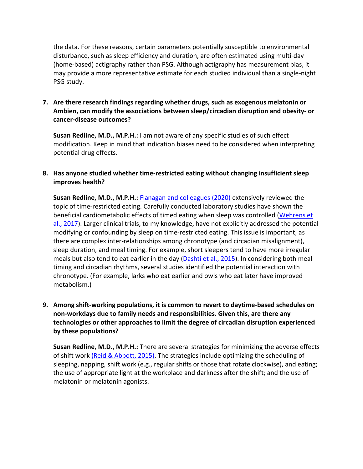the data. For these reasons, certain parameters potentially susceptible to environmental disturbance, such as sleep efficiency and duration, are often estimated using multi-day (home-based) actigraphy rather than PSG. Although actigraphy has measurement bias, it may provide a more representative estimate for each studied individual than a single-night PSG study.

#### **7. Are there research findings regarding whether drugs, such as exogenous melatonin or Ambien, can modify the associations between sleep/circadian disruption and obesity- or cancer-disease outcomes?**

**Susan Redline, M.D., M.P.H.:** I am not aware of any specific studies of such effect modification. Keep in mind that indication biases need to be considered when interpreting potential drug effects.

#### **8. Has anyone studied whether time-restricted eating without changing insufficient sleep improves health?**

**Susan Redline, M.D., M.P.H.:** [Flanagan and colleagues \(2020\)](https://pubmed.ncbi.nlm.nih.gov/33222161/) extensively reviewed the topic of time-restricted eating. Carefully conducted laboratory studies have shown the beneficial cardiometabolic effects of timed eating when sleep was controlled [\(Wehrens et](https://pubmed.ncbi.nlm.nih.gov/28578930/)  [al., 2017\)](https://pubmed.ncbi.nlm.nih.gov/28578930/). Larger clinical trials, to my knowledge, have not explicitly addressed the potential modifying or confounding by sleep on time-restricted eating. This issue is important, as there are complex inter-relationships among chronotype (and circadian misalignment), sleep duration, and meal timing. For example, short sleepers tend to have more irregular meals but also tend to eat earlier in the day [\(Dashti et al., 2015\)](https://pubmed.ncbi.nlm.nih.gov/26567190/). In considering both meal timing and circadian rhythms, several studies identified the potential interaction with chronotype. (For example, larks who eat earlier and owls who eat later have improved metabolism.)

#### **9. Among shift-working populations, it is common to revert to daytime-based schedules on non-workdays due to family needs and responsibilities. Given this, are there any technologies or other approaches to limit the degree of circadian disruption experienced by these populations?**

**Susan Redline, M.D., M.P.H.:** There are several strategies for minimizing the adverse effects of shift work [\(Reid & Abbott, 2015\).](https://pubmed.ncbi.nlm.nih.gov/26568127/) The strategies include optimizing the scheduling of sleeping, napping, shift work (e.g., regular shifts or those that rotate clockwise), and eating; the use of appropriate light at the workplace and darkness after the shift; and the use of melatonin or melatonin agonists.